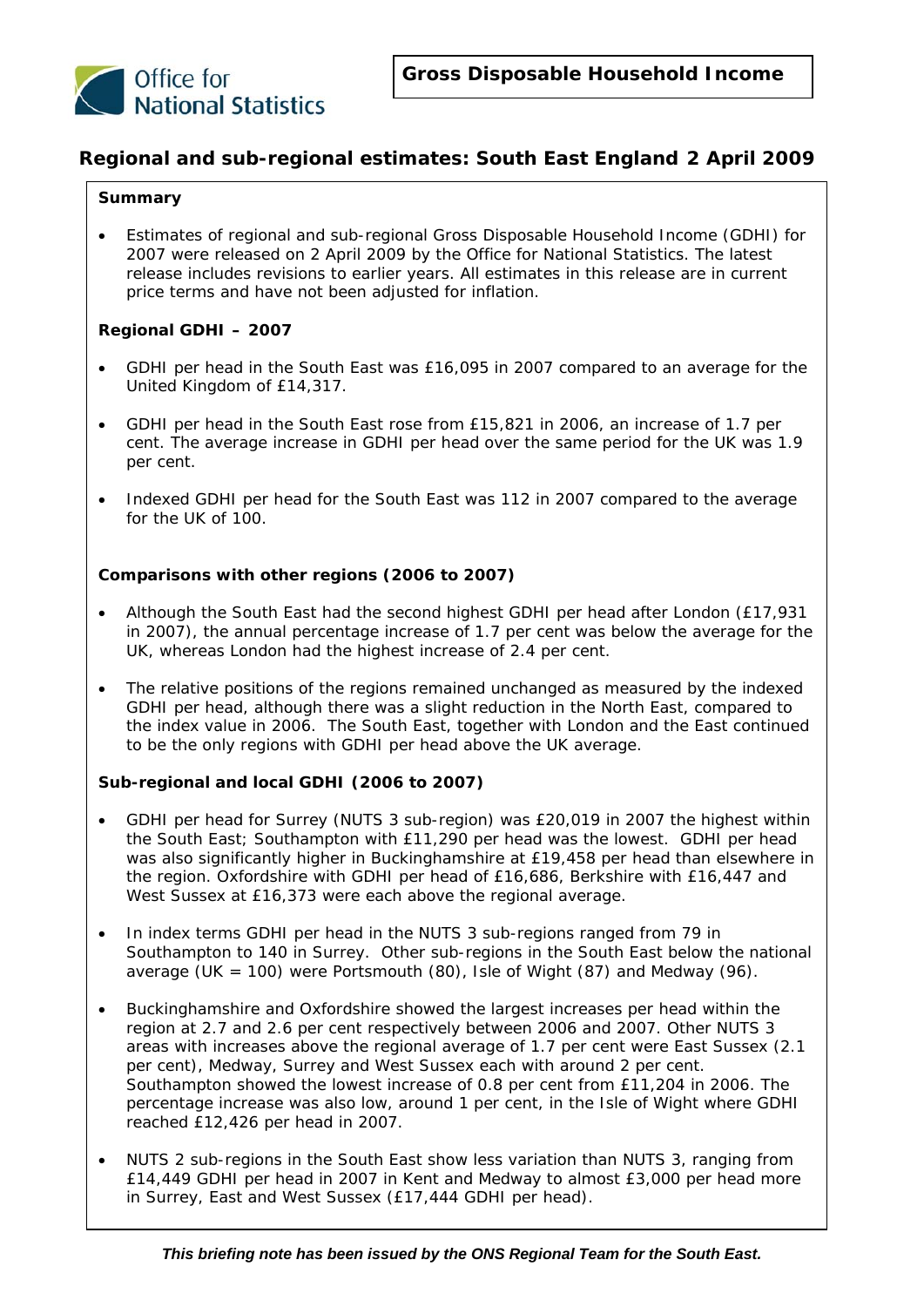

## **Regional and sub-regional estimates: South East England 2 April 2009**

### **Summary**

• Estimates of regional and sub-regional Gross Disposable Household Income (GDHI) for 2007 were released on 2 April 2009 by the Office for National Statistics. The latest release includes revisions to earlier years. All estimates in this release are in current price terms and have not been adjusted for inflation.

### *Regional GDHI – 2007*

- GDHI per head in the South East was £16,095 in 2007 compared to an average for the United Kingdom of £14,317.
- GDHI per head in the South East rose from £15,821 in 2006, an increase of 1.7 per cent. The average increase in GDHI per head over the same period for the UK was 1.9 per cent.
- Indexed GDHI per head for the South East was 112 in 2007 compared to the average for the UK of 100.

### *Comparisons with other regions (2006 to 2007)*

- Although the South East had the second highest GDHI per head after London (£17,931 in 2007), the annual percentage increase of 1.7 per cent was below the average for the UK, whereas London had the highest increase of 2.4 per cent.
- The relative positions of the regions remained unchanged as measured by the indexed GDHI per head, although there was a slight reduction in the North East, compared to the index value in 2006. The South East, together with London and the East continued to be the only regions with GDHI per head above the UK average.

### *Sub-regional and local GDHI (2006 to 2007)*

- GDHI per head for Surrey (NUTS 3 sub-region) was £20,019 in 2007 the highest within the South East; Southampton with £11,290 per head was the lowest. GDHI per head was also significantly higher in Buckinghamshire at £19,458 per head than elsewhere in the region. Oxfordshire with GDHI per head of £16,686, Berkshire with £16,447 and West Sussex at £16,373 were each above the regional average.
- In index terms GDHI per head in the NUTS 3 sub-regions ranged from 79 in Southampton to 140 in Surrey. Other sub-regions in the South East below the national average (UK = 100) were Portsmouth (80), Isle of Wight (87) and Medway (96).
- Buckinghamshire and Oxfordshire showed the largest increases per head within the region at 2.7 and 2.6 per cent respectively between 2006 and 2007. Other NUTS 3 areas with increases above the regional average of 1.7 per cent were East Sussex (2.1 per cent), Medway, Surrey and West Sussex each with around 2 per cent. Southampton showed the lowest increase of 0.8 per cent from £11,204 in 2006. The percentage increase was also low, around 1 per cent, in the Isle of Wight where GDHI reached £12,426 per head in 2007.
- NUTS 2 sub-regions in the South East show less variation than NUTS 3, ranging from £14,449 GDHI per head in 2007 in Kent and Medway to almost £3,000 per head more in Surrey, East and West Sussex (£17,444 GDHI per head).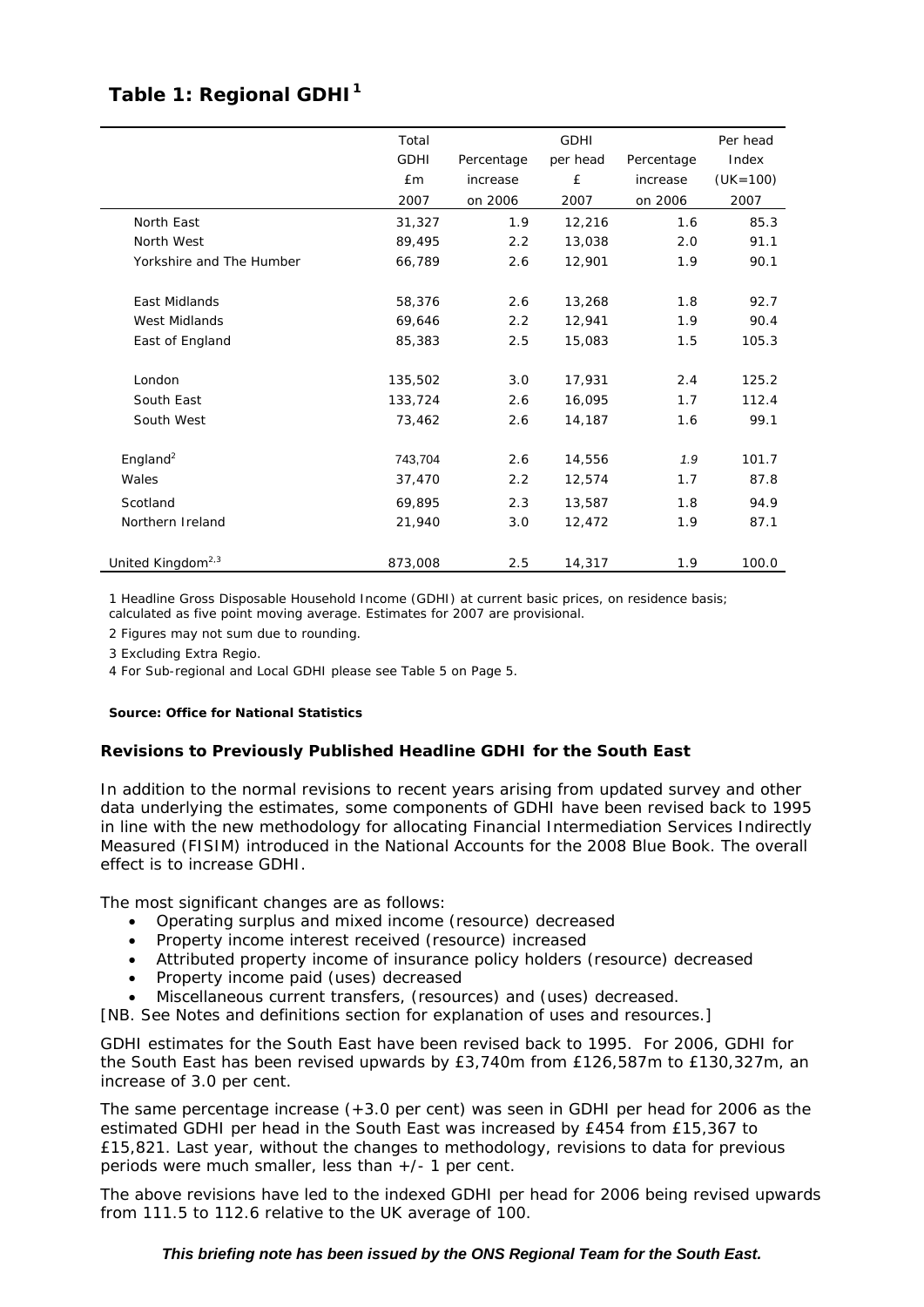## Table 1: Regional GDHI<sup>1</sup>

|                               | Total       |            | Per head |            |              |
|-------------------------------|-------------|------------|----------|------------|--------------|
|                               | <b>GDHI</b> | Percentage | per head | Percentage | Index        |
|                               | £m          | increase   | £        | increase   | $(UK = 100)$ |
|                               | 2007        | on 2006    | 2007     | on 2006    | 2007         |
| North East                    | 31,327      | 1.9        | 12,216   | 1.6        | 85.3         |
| North West                    | 89,495      | 2.2        | 13,038   | 2.0        | 91.1         |
| Yorkshire and The Humber      | 66,789      | 2.6        | 12,901   | 1.9        | 90.1         |
|                               |             |            |          |            |              |
| East Midlands                 | 58,376      | 2.6        | 13,268   | 1.8        | 92.7         |
| <b>West Midlands</b>          | 69,646      | 2.2        | 12,941   | 1.9        | 90.4         |
| East of England               | 85,383      | 2.5        | 15,083   | 1.5        | 105.3        |
| London                        | 135,502     | 3.0        | 17,931   | 2.4        | 125.2        |
| South East                    | 133,724     | 2.6        | 16,095   | 1.7        | 112.4        |
| South West                    | 73,462      | 2.6        | 14,187   | 1.6        | 99.1         |
|                               |             |            |          |            |              |
| England <sup>2</sup>          | 743,704     | 2.6        | 14,556   | 1.9        | 101.7        |
| Wales                         | 37,470      | 2.2        | 12,574   | 1.7        | 87.8         |
| Scotland                      | 69,895      | 2.3        | 13,587   | 1.8        | 94.9         |
| Northern Ireland              | 21,940      | 3.0        | 12,472   | 1.9        | 87.1         |
| United Kingdom <sup>2,3</sup> | 873,008     | 2.5        | 14,317   | 1.9        | 100.0        |

1 Headline Gross Disposable Household Income (GDHI) at current basic prices, on residence basis; calculated as five point moving average. Estimates for 2007 are provisional.

2 Figures may not sum due to rounding.

3 Excluding Extra Regio.

4 For Sub-regional and Local GDHI please see Table 5 on Page 5.

### *Source: Office for National Statistics*

### **Revisions to Previously Published Headline GDHI for the South East**

In addition to the normal revisions to recent years arising from updated survey and other data underlying the estimates, some components of GDHI have been revised back to 1995 in line with the new methodology for allocating Financial Intermediation Services Indirectly Measured (FISIM) introduced in the National Accounts for the 2008 Blue Book. The overall effect is to increase GDHI.

The most significant changes are as follows:

- Operating surplus and mixed income (resource) decreased
- Property income interest received (resource) increased
- Attributed property income of insurance policy holders (resource) decreased
- Property income paid (uses) decreased
- Miscellaneous current transfers, (resources) and (uses) decreased.

[NB. See Notes and definitions section for explanation of uses and resources.]

GDHI estimates for the South East have been revised back to 1995. For 2006, GDHI for the South East has been revised upwards by £3,740m from £126,587m to £130,327m, an increase of 3.0 per cent.

The same percentage increase (+3.0 per cent) was seen in GDHI per head for 2006 as the estimated GDHI per head in the South East was increased by £454 from £15,367 to £15,821. Last year, without the changes to methodology, revisions to data for previous periods were much smaller, less than +/- 1 per cent.

The above revisions have led to the indexed GDHI per head for 2006 being revised upwards from 111.5 to 112.6 relative to the UK average of 100.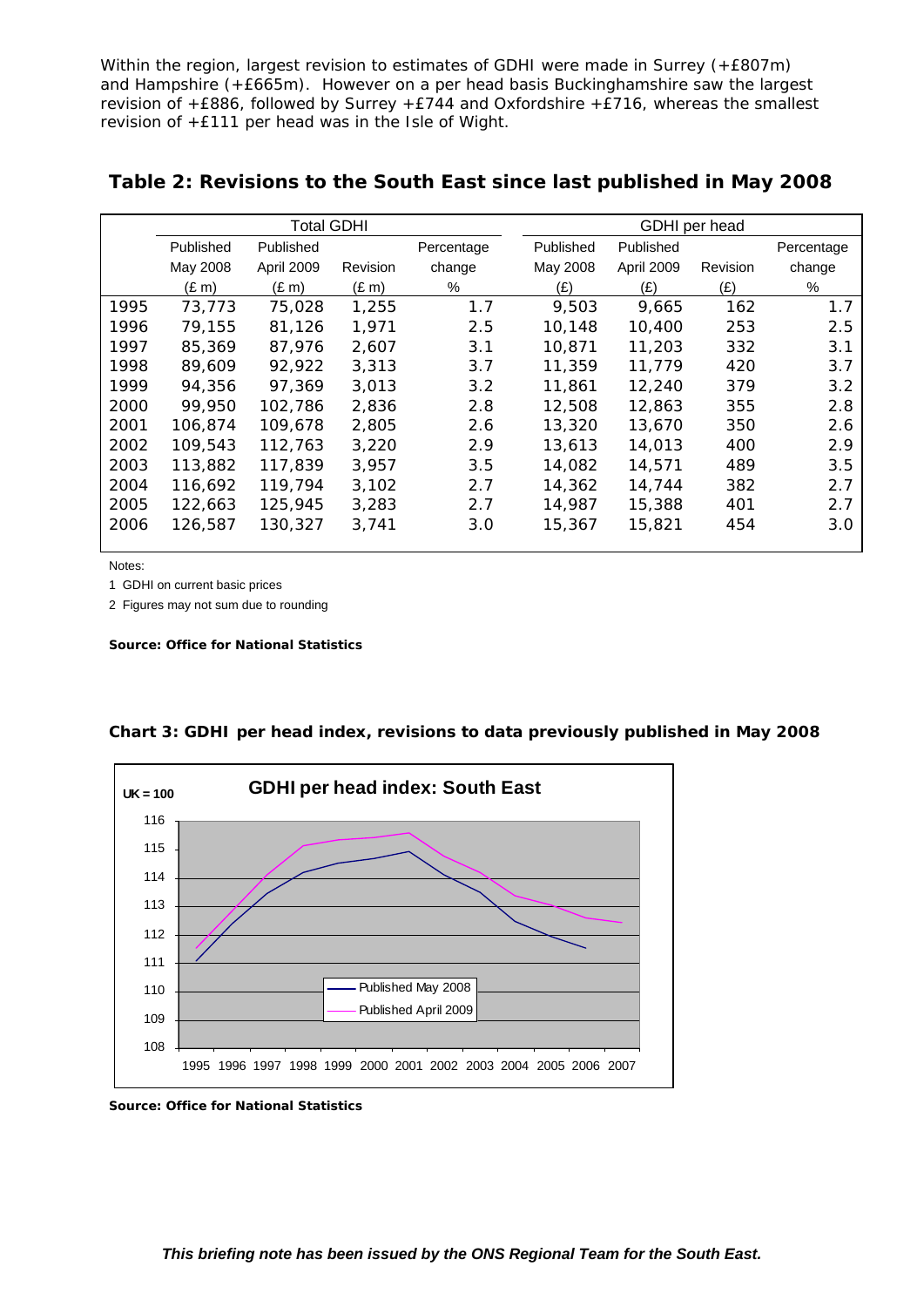Within the region, largest revision to estimates of GDHI were made in Surrey (+£807m) and Hampshire (+£665m). However on a per head basis Buckinghamshire saw the largest revision of +£886, followed by Surrey +£744 and Oxfordshire +£716, whereas the smallest revision of +£111 per head was in the Isle of Wight.

|      |            | <b>Total GDHI</b> |            |               |           | GDHI per head |          |               |
|------|------------|-------------------|------------|---------------|-----------|---------------|----------|---------------|
|      | Published  | Published         |            | Percentage    | Published | Published     |          | Percentage    |
|      | May 2008   | April 2009        | Revision   | change        | May 2008  | April 2009    | Revision | change        |
|      | $(E \, m)$ | $(E \, m)$        | $(E \, m)$ | %             | (E)       | (E)           | (E)      | %             |
| 1995 | 73,773     | 75,028            | 1,255      | 1.7           | 9,503     | 9,665         | 162      | 1.7           |
| 1996 | 79,155     | 81,126            | 1,971      | 2.5           | 10,148    | 10,400        | 253      | $2.5^{\circ}$ |
| 1997 | 85,369     | 87,976            | 2.607      | 3.1           | 10,871    | 11,203        | 332      | 3.1           |
| 1998 | 89.609     | 92,922            | 3,313      | 3.7           | 11,359    | 11,779        | 420      | 3.7           |
| 1999 | 94,356     | 97.369            | 3,013      | $3.2^{\circ}$ | 11,861    | 12,240        | 379      | 3.2           |
| 2000 | 99,950     | 102,786           | 2,836      | 2.8           | 12,508    | 12,863        | 355      | 2.8           |
| 2001 | 106,874    | 109,678           | 2,805      | 2.6           | 13,320    | 13,670        | 350      | 2.6           |
| 2002 | 109,543    | 112,763           | 3,220      | 2.9           | 13,613    | 14,013        | 400      | 2.9           |
| 2003 | 113,882    | 117,839           | 3,957      | $3.5^{\circ}$ | 14,082    | 14,571        | 489      | 3.5           |
| 2004 | 116,692    | 119,794           | 3.102      | 2.7           | 14,362    | 14,744        | 382      | 2.7           |
| 2005 | 122,663    | 125,945           | 3,283      | 2.7           | 14,987    | 15,388        | 401      | 2.7           |
| 2006 | 126,587    | 130,327           | 3,741      | 3.0           | 15,367    | 15,821        | 454      | 3.0           |
|      |            |                   |            |               |           |               |          |               |

## **Table 2: Revisions to the South East since last published in May 2008**

Notes:

1 GDHI on current basic prices

2 Figures may not sum due to rounding

*Source: Office for National Statistics* 



**Chart 3: GDHI per head index, revisions to data previously published in May 2008**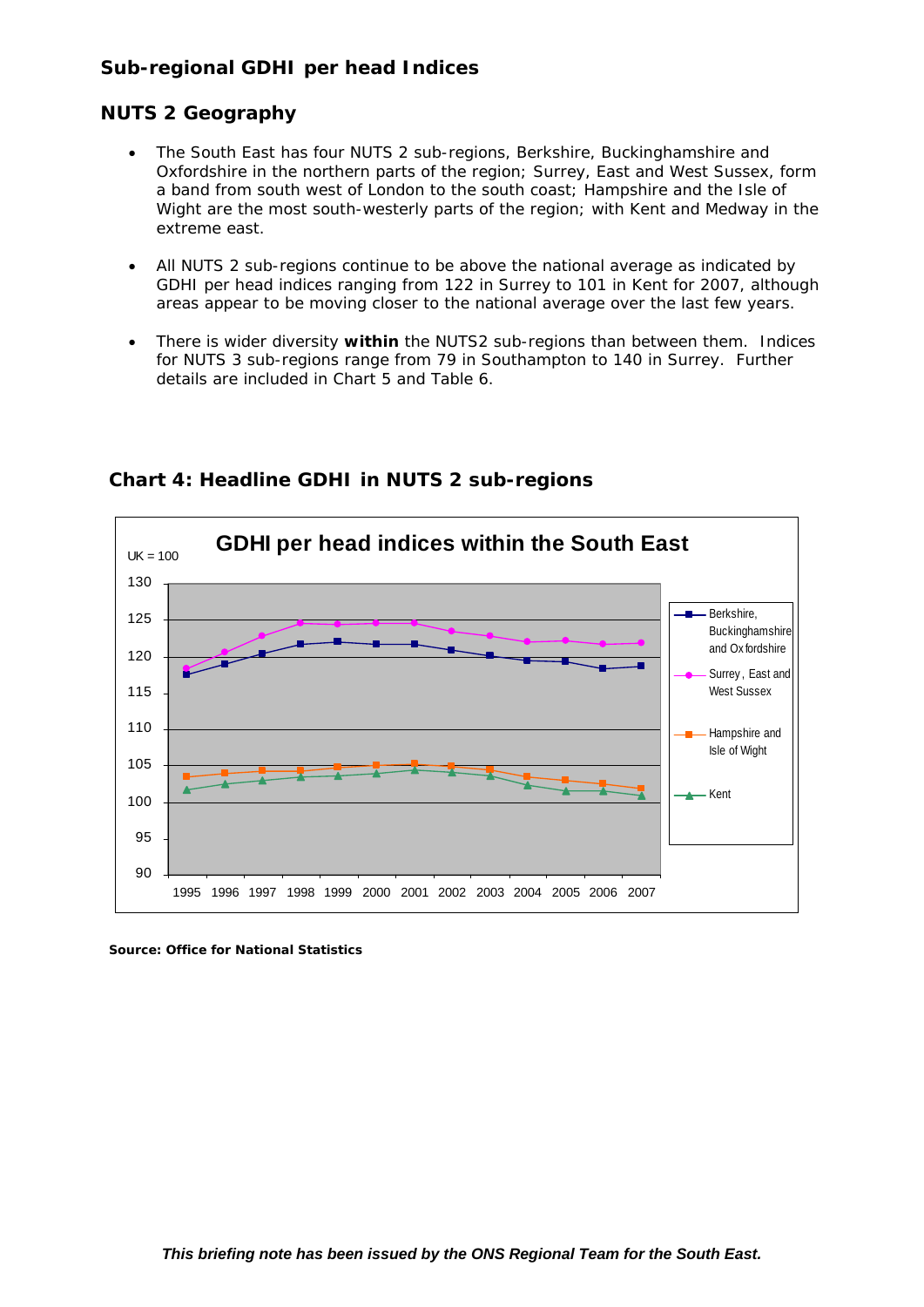## **Sub-regional GDHI per head Indices**

## **NUTS 2 Geography**

- The South East has four NUTS 2 sub-regions, Berkshire, Buckinghamshire and Oxfordshire in the northern parts of the region; Surrey, East and West Sussex, form a band from south west of London to the south coast; Hampshire and the Isle of Wight are the most south-westerly parts of the region; with Kent and Medway in the extreme east.
- All NUTS 2 sub-regions continue to be above the national average as indicated by GDHI per head indices ranging from 122 in Surrey to 101 in Kent for 2007, although areas appear to be moving closer to the national average over the last few years.
- There is wider diversity **within** the NUTS2 sub-regions than between them. Indices for NUTS 3 sub-regions range from 79 in Southampton to 140 in Surrey. Further details are included in Chart 5 and Table 6.



## **Chart 4: Headline GDHI in NUTS 2 sub-regions**

*Source: Office for National Statistics*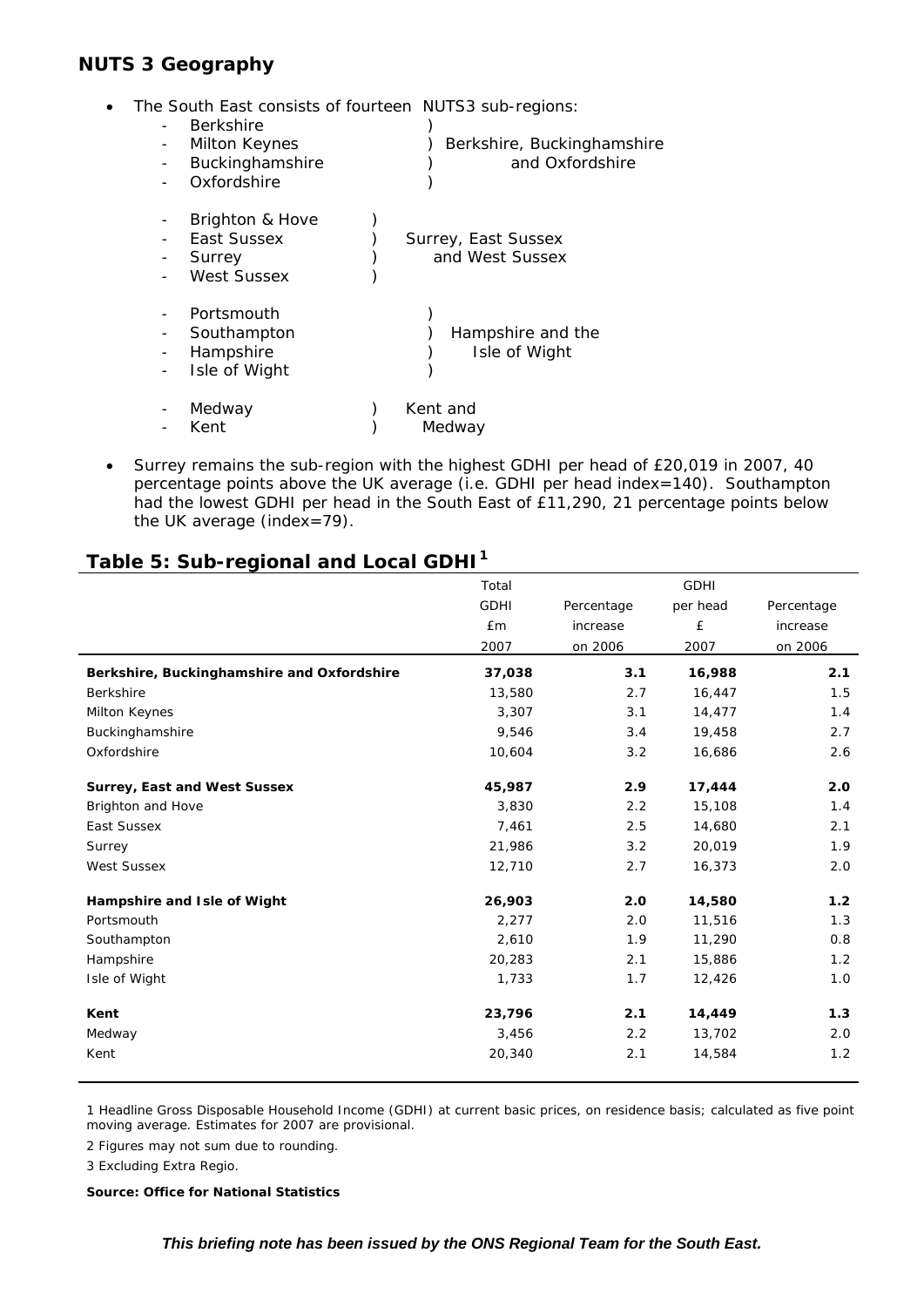## **NUTS 3 Geography**

• The South East consists of fourteen NUTS3 sub-regions:

| <b>Berkshire</b>                                               | ilo Obatri Lubt conbibito or roartoon. No rob bab rogiono. |
|----------------------------------------------------------------|------------------------------------------------------------|
| Milton Keynes<br>Buckinghamshire<br>Oxfordshire                | Berkshire, Buckinghamshire<br>and Oxfordshire              |
| Brighton & Hove<br>East Sussex<br>Surrey<br><b>West Sussex</b> | Surrey, East Sussex<br>and West Sussex                     |
| Portsmouth<br>Southampton<br>Hampshire<br>Isle of Wight        | Hampshire and the<br>Isle of Wight                         |
| Medway<br>Kent                                                 | Kent and<br>Medway                                         |

• Surrey remains the sub-region with the highest GDHI per head of £20,019 in 2007, 40 percentage points above the UK average (i.e. GDHI per head index=140). Southampton had the lowest GDHI per head in the South East of £11,290, 21 percentage points below the UK average (index=79).

# **Table 5: Sub-regional and Local GDHI1**

|                                            | Total       |            | <b>GDHI</b> |            |
|--------------------------------------------|-------------|------------|-------------|------------|
|                                            | <b>GDHI</b> | Percentage | per head    | Percentage |
|                                            | £m          | increase   | £           | increase   |
|                                            | 2007        | on 2006    | 2007        | on 2006    |
| Berkshire, Buckinghamshire and Oxfordshire | 37,038      | 3.1        | 16,988      | 2.1        |
| Berkshire                                  | 13,580      | 2.7        | 16,447      | 1.5        |
| Milton Keynes                              | 3,307       | 3.1        | 14,477      | 1.4        |
| Buckinghamshire                            | 9,546       | 3.4        | 19,458      | 2.7        |
| Oxfordshire                                | 10,604      | 3.2        | 16,686      | 2.6        |
| <b>Surrey, East and West Sussex</b>        | 45,987      | 2.9        | 17,444      | 2.0        |
| Brighton and Hove                          | 3,830       | 2.2        | 15,108      | 1.4        |
| East Sussex                                | 7,461       | 2.5        | 14,680      | 2.1        |
| Surrey                                     | 21,986      | 3.2        | 20,019      | 1.9        |
| <b>West Sussex</b>                         | 12,710      | 2.7        | 16,373      | 2.0        |
| Hampshire and Isle of Wight                | 26,903      | 2.0        | 14,580      | 1.2        |
| Portsmouth                                 | 2,277       | 2.0        | 11,516      | 1.3        |
| Southampton                                | 2,610       | 1.9        | 11,290      | 0.8        |
| Hampshire                                  | 20,283      | 2.1        | 15,886      | 1.2        |
| Isle of Wight                              | 1,733       | 1.7        | 12,426      | 1.0        |
| Kent                                       | 23,796      | 2.1        | 14,449      | 1.3        |
| Medway                                     | 3,456       | 2.2        | 13,702      | 2.0        |
| Kent                                       | 20,340      | 2.1        | 14,584      | 1.2        |

1 Headline Gross Disposable Household Income (GDHI) at current basic prices, on residence basis; calculated as five point moving average. Estimates for 2007 are provisional.

2 Figures may not sum due to rounding.

3 Excluding Extra Regio.

*Source: Office for National Statistics*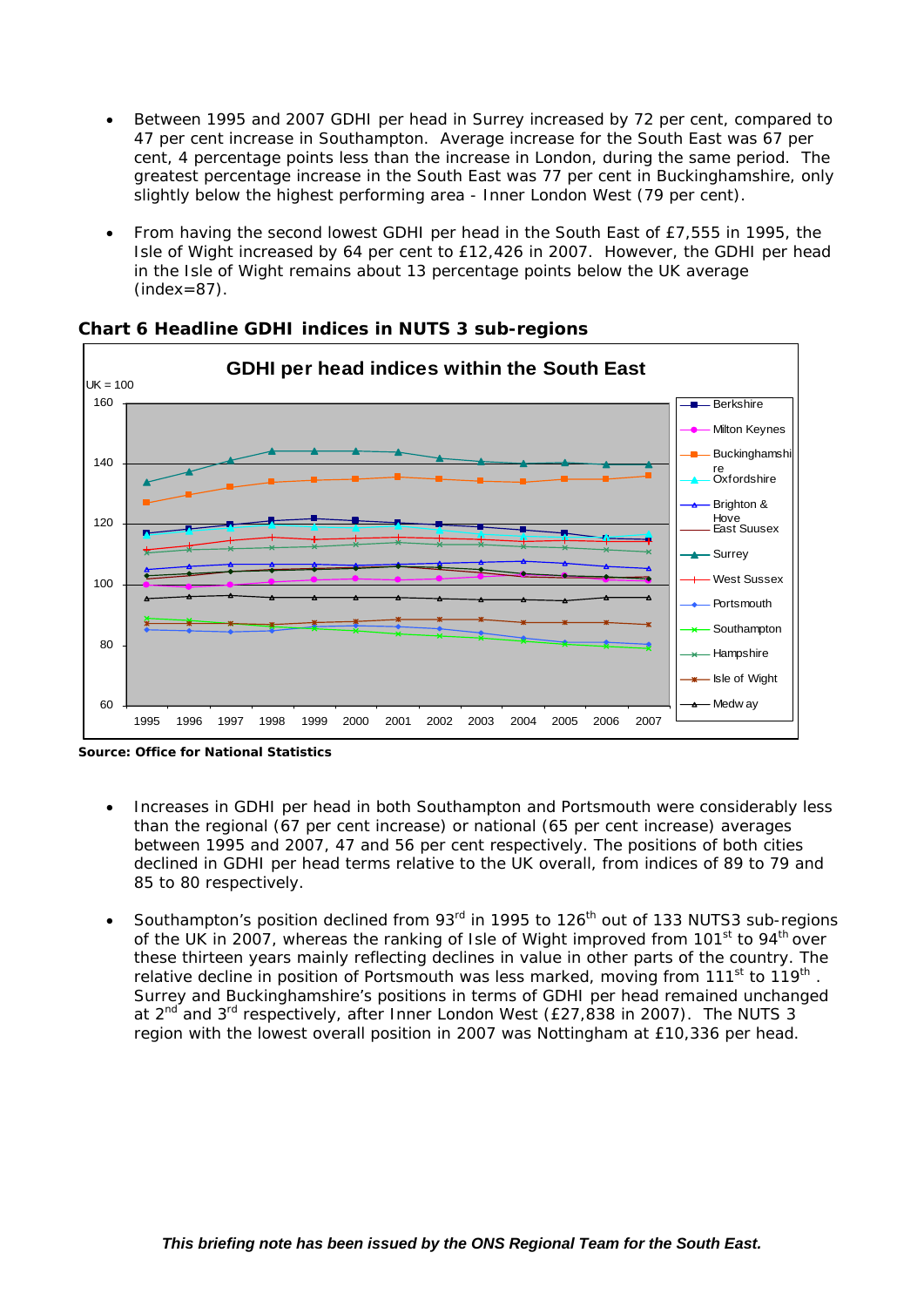- Between 1995 and 2007 GDHI per head in Surrey increased by 72 per cent, compared to 47 per cent increase in Southampton. Average increase for the South East was 67 per cent, 4 percentage points less than the increase in London, during the same period. The greatest percentage increase in the South East was 77 per cent in Buckinghamshire, only slightly below the highest performing area - Inner London West (79 per cent).
- From having the second lowest GDHI per head in the South East of £7,555 in 1995, the Isle of Wight increased by 64 per cent to £12,426 in 2007. However, the GDHI per head in the Isle of Wight remains about 13 percentage points below the UK average  $(index=87)$ .



**Chart 6 Headline GDHI indices in NUTS 3 sub-regions** 

*Source: Office for National Statistics* 

- Increases in GDHI per head in both Southampton and Portsmouth were considerably less than the regional (67 per cent increase) or national (65 per cent increase) averages between 1995 and 2007, 47 and 56 per cent respectively. The positions of both cities declined in GDHI per head terms relative to the UK overall, from indices of 89 to 79 and 85 to 80 respectively.
- Southampton's position declined from 93<sup>rd</sup> in 1995 to 126<sup>th</sup> out of 133 NUTS3 sub-regions of the UK in 2007, whereas the ranking of Isle of Wight improved from  $101<sup>st</sup>$  to  $94<sup>th</sup>$  over these thirteen years mainly reflecting declines in value in other parts of the country. The relative decline in position of Portsmouth was less marked, moving from  $111<sup>st</sup>$  to  $119<sup>th</sup>$ . Surrey and Buckinghamshire's positions in terms of GDHI per head remained unchanged at 2<sup>nd</sup> and 3<sup>rd</sup> respectively, after Inner London West (£27,838 in 2007). The NUTS 3 region with the lowest overall position in 2007 was Nottingham at £10,336 per head.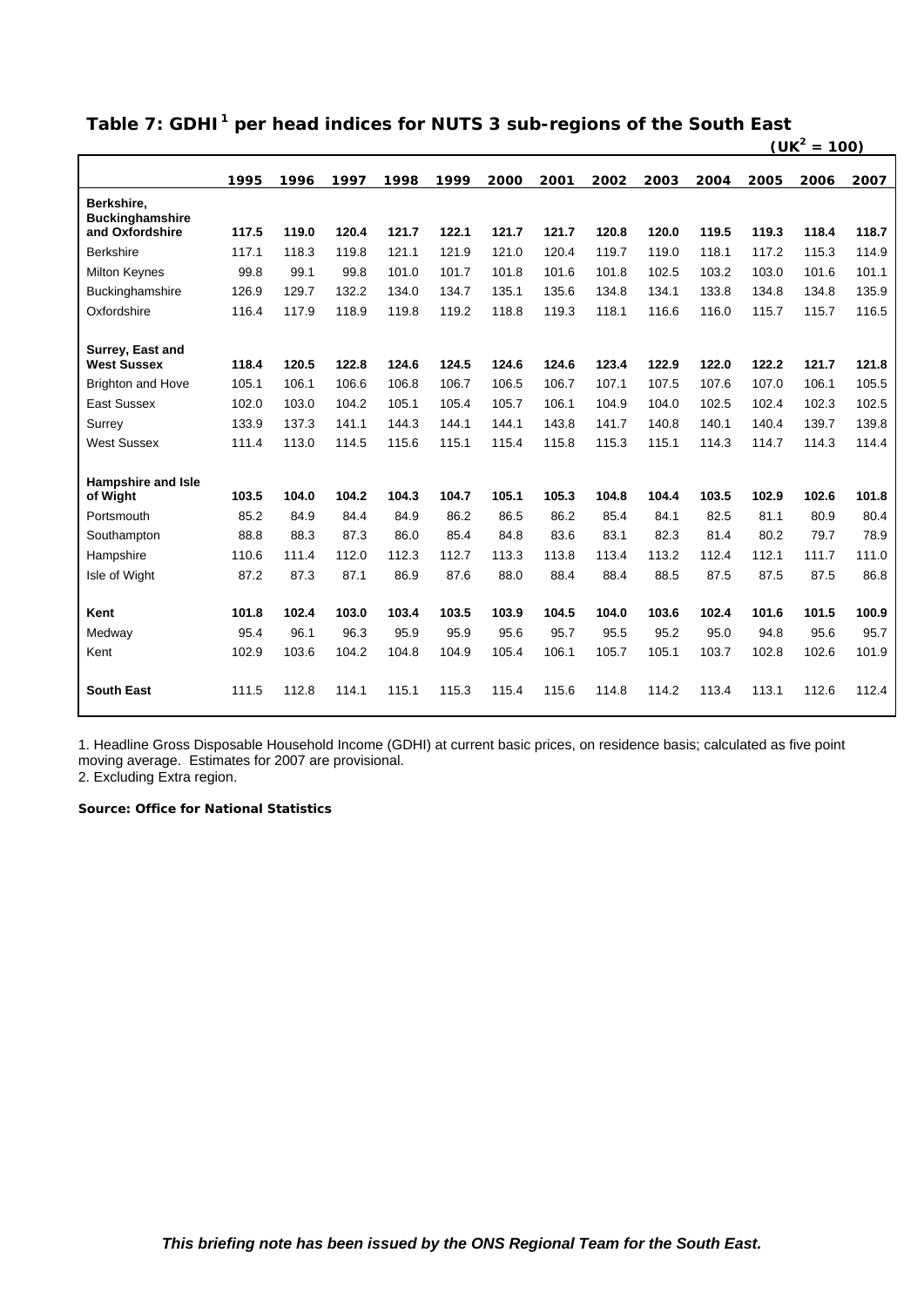| Table 7: GDHI <sup>1</sup> per head indices for NUTS 3 sub-regions of the South East |
|--------------------------------------------------------------------------------------|
|                                                                                      |

|                                      |       |       |       |       |       |       |       |       |       |       |       | $(UK2 = 100)$ |       |
|--------------------------------------|-------|-------|-------|-------|-------|-------|-------|-------|-------|-------|-------|---------------|-------|
|                                      | 1995  | 1996  | 1997  | 1998  | 1999  | 2000  | 2001  | 2002  | 2003  | 2004  | 2005  | 2006          | 2007  |
| Berkshire,<br><b>Buckinghamshire</b> |       |       |       |       |       |       |       |       |       |       |       |               |       |
| and Oxfordshire                      | 117.5 | 119.0 | 120.4 | 121.7 | 122.1 | 121.7 | 121.7 | 120.8 | 120.0 | 119.5 | 119.3 | 118.4         | 118.7 |
| <b>Berkshire</b>                     | 117.1 | 118.3 | 119.8 | 121.1 | 121.9 | 121.0 | 120.4 | 119.7 | 119.0 | 118.1 | 117.2 | 115.3         | 114.9 |
| <b>Milton Keynes</b>                 | 99.8  | 99.1  | 99.8  | 101.0 | 101.7 | 101.8 | 101.6 | 101.8 | 102.5 | 103.2 | 103.0 | 101.6         | 101.1 |
| <b>Buckinghamshire</b>               | 126.9 | 129.7 | 132.2 | 134.0 | 134.7 | 135.1 | 135.6 | 134.8 | 134.1 | 133.8 | 134.8 | 134.8         | 135.9 |
| Oxfordshire                          | 116.4 | 117.9 | 118.9 | 119.8 | 119.2 | 118.8 | 119.3 | 118.1 | 116.6 | 116.0 | 115.7 | 115.7         | 116.5 |
| Surrey, East and                     |       |       |       |       |       |       |       |       |       |       |       |               |       |
| <b>West Sussex</b>                   | 118.4 | 120.5 | 122.8 | 124.6 | 124.5 | 124.6 | 124.6 | 123.4 | 122.9 | 122.0 | 122.2 | 121.7         | 121.8 |
| <b>Brighton and Hove</b>             | 105.1 | 106.1 | 106.6 | 106.8 | 106.7 | 106.5 | 106.7 | 107.1 | 107.5 | 107.6 | 107.0 | 106.1         | 105.5 |
| <b>East Sussex</b>                   | 102.0 | 103.0 | 104.2 | 105.1 | 105.4 | 105.7 | 106.1 | 104.9 | 104.0 | 102.5 | 102.4 | 102.3         | 102.5 |
| Surrey                               | 133.9 | 137.3 | 141.1 | 144.3 | 144.1 | 144.1 | 143.8 | 141.7 | 140.8 | 140.1 | 140.4 | 139.7         | 139.8 |
| <b>West Sussex</b>                   | 111.4 | 113.0 | 114.5 | 115.6 | 115.1 | 115.4 | 115.8 | 115.3 | 115.1 | 114.3 | 114.7 | 114.3         | 114.4 |
| <b>Hampshire and Isle</b>            |       |       |       |       |       |       |       |       |       |       |       |               |       |
| of Wight                             | 103.5 | 104.0 | 104.2 | 104.3 | 104.7 | 105.1 | 105.3 | 104.8 | 104.4 | 103.5 | 102.9 | 102.6         | 101.8 |
| Portsmouth                           | 85.2  | 84.9  | 84.4  | 84.9  | 86.2  | 86.5  | 86.2  | 85.4  | 84.1  | 82.5  | 81.1  | 80.9          | 80.4  |
| Southampton                          | 88.8  | 88.3  | 87.3  | 86.0  | 85.4  | 84.8  | 83.6  | 83.1  | 82.3  | 81.4  | 80.2  | 79.7          | 78.9  |
| Hampshire                            | 110.6 | 111.4 | 112.0 | 112.3 | 112.7 | 113.3 | 113.8 | 113.4 | 113.2 | 112.4 | 112.1 | 111.7         | 111.0 |
| Isle of Wight                        | 87.2  | 87.3  | 87.1  | 86.9  | 87.6  | 88.0  | 88.4  | 88.4  | 88.5  | 87.5  | 87.5  | 87.5          | 86.8  |
| Kent                                 | 101.8 | 102.4 | 103.0 | 103.4 | 103.5 | 103.9 | 104.5 | 104.0 | 103.6 | 102.4 | 101.6 | 101.5         | 100.9 |
| Medway                               | 95.4  | 96.1  | 96.3  | 95.9  | 95.9  | 95.6  | 95.7  | 95.5  | 95.2  | 95.0  | 94.8  | 95.6          | 95.7  |
| Kent                                 | 102.9 | 103.6 | 104.2 | 104.8 | 104.9 | 105.4 | 106.1 | 105.7 | 105.1 | 103.7 | 102.8 | 102.6         | 101.9 |
| <b>South East</b>                    | 111.5 | 112.8 | 114.1 | 115.1 | 115.3 | 115.4 | 115.6 | 114.8 | 114.2 | 113.4 | 113.1 | 112.6         | 112.4 |

1. Headline Gross Disposable Household Income (GDHI) at current basic prices, on residence basis; calculated as five point moving average. Estimates for 2007 are provisional.

2. Excluding Extra region.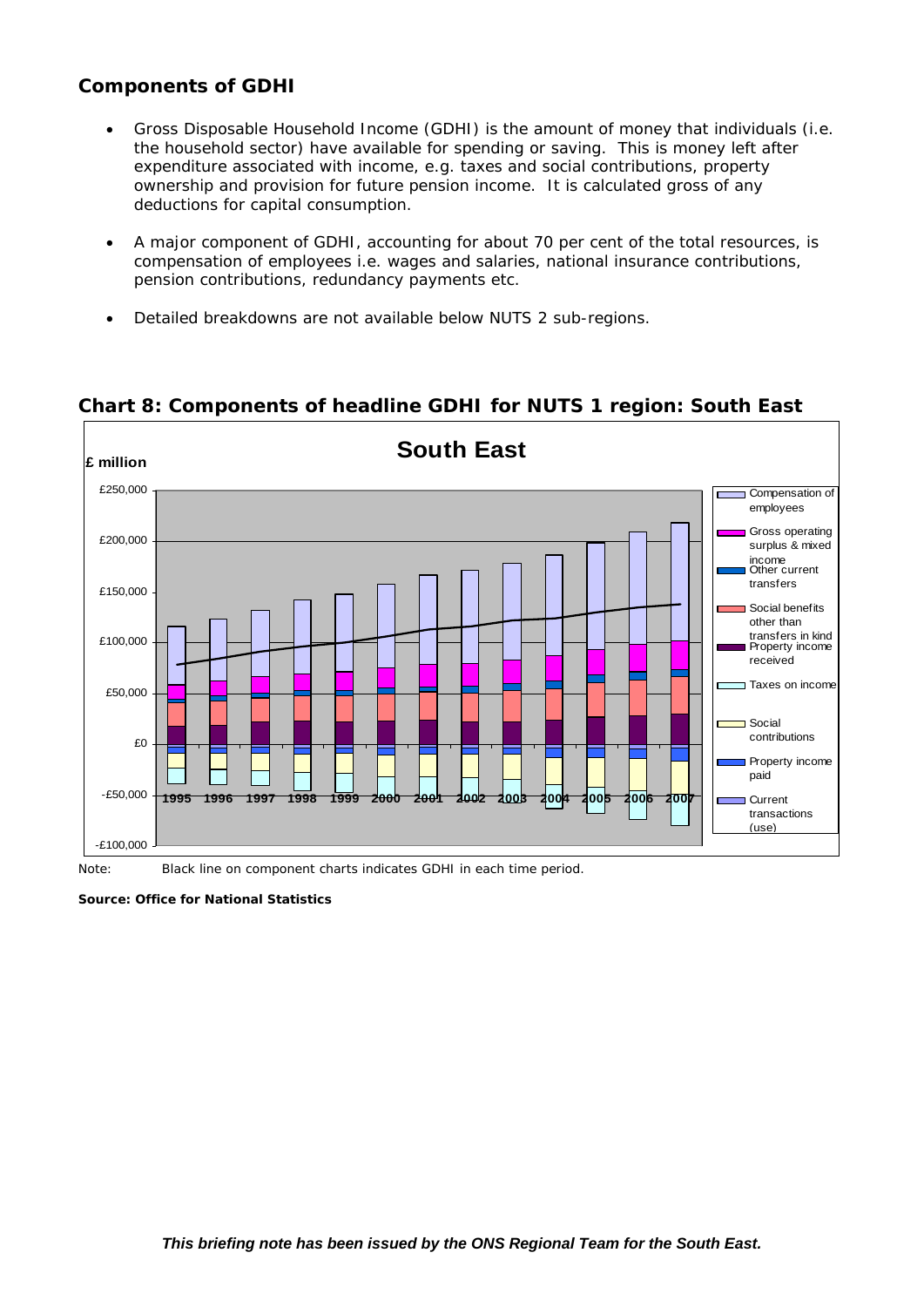## **Components of GDHI**

- Gross Disposable Household Income (GDHI) is the amount of money that individuals (i.e. the household sector) have available for spending or saving. This is money left after expenditure associated with income, e.g. taxes and social contributions, property ownership and provision for future pension income. It is calculated gross of any deductions for capital consumption.
- A major component of GDHI, accounting for about 70 per cent of the total resources, is compensation of employees i.e. wages and salaries, national insurance contributions, pension contributions, redundancy payments etc.
- Detailed breakdowns are not available below NUTS 2 sub-regions.



**Chart 8: Components of headline GDHI for NUTS 1 region: South East** 

Note: Black line on component charts indicates GDHI in each time period.

*Source: Office for National Statistics*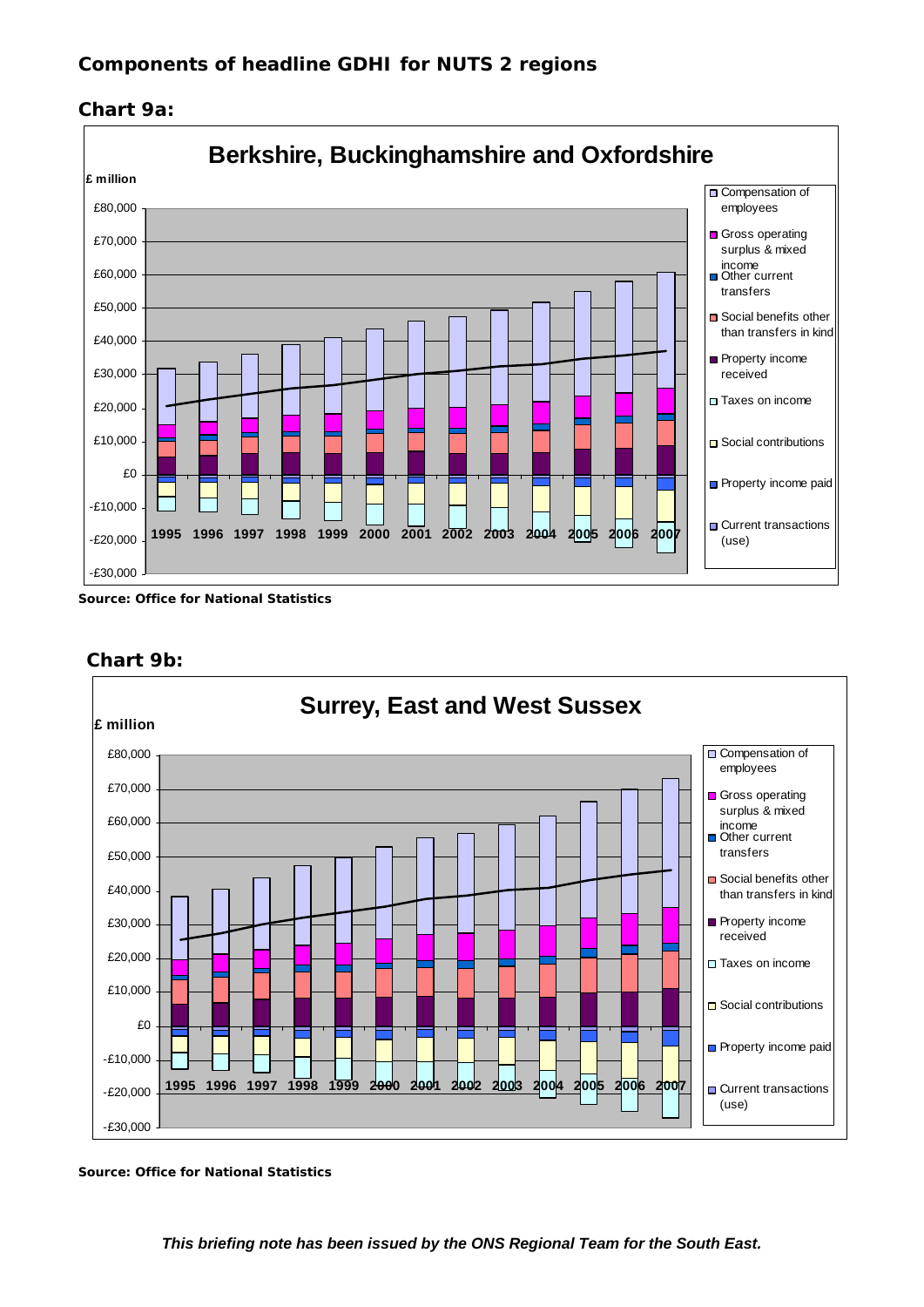



*Source: Office for National Statistics* 



## **Chart 9b:**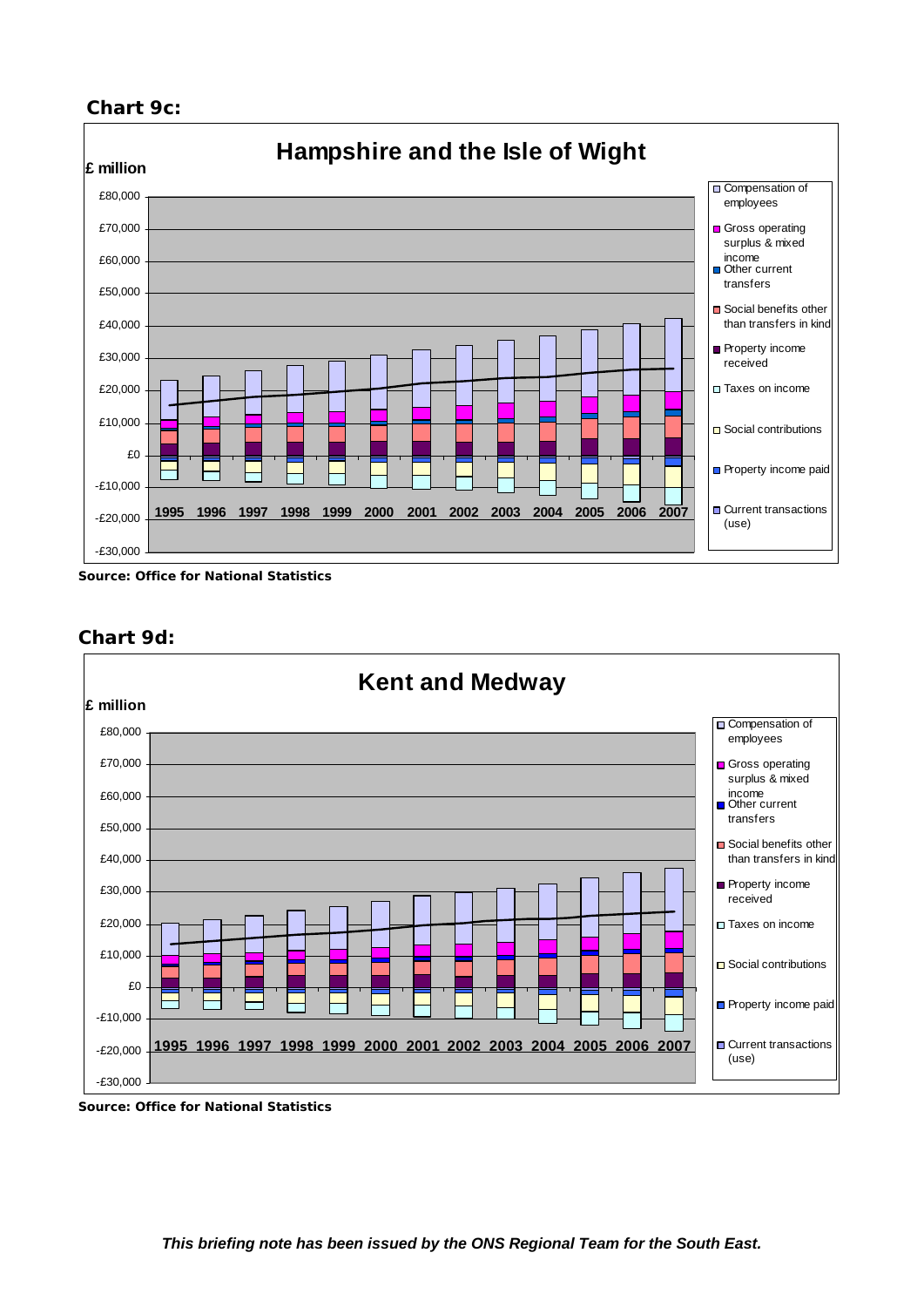## **Chart 9c:**



*Source: Office for National Statistics* 



## **Chart 9d:**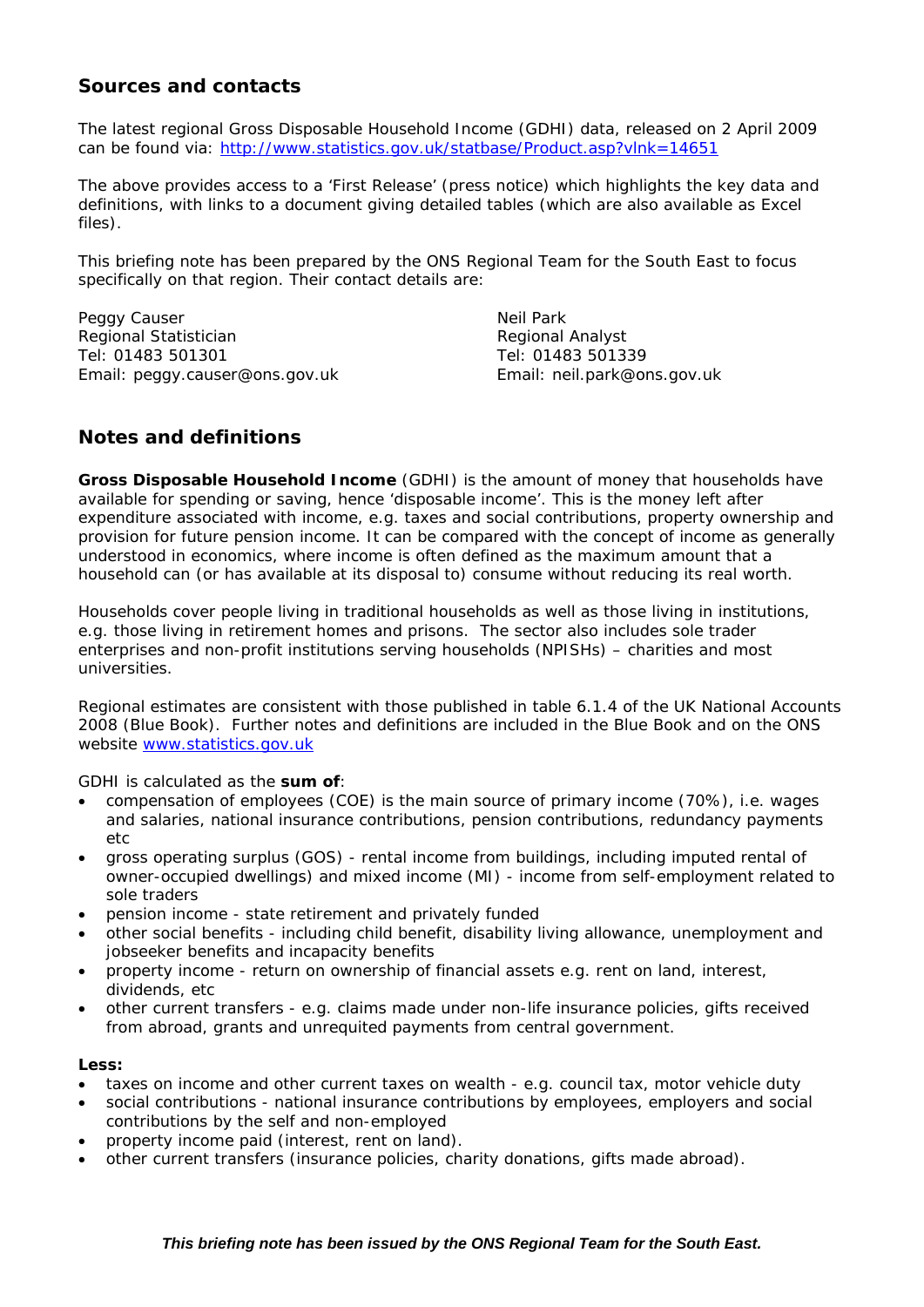## **Sources and contacts**

The latest regional Gross Disposable Household Income (GDHI) data, released on 2 April 2009 can be found via: http://www.statistics.gov.uk/statbase/Product.asp?vlnk=14651

The above provides access to a 'First Release' (press notice) which highlights the key data and definitions, with links to a document giving detailed tables (which are also available as Excel files).

This briefing note has been prepared by the ONS Regional Team for the South East to focus specifically on that region. Their contact details are:

Peggy Causer Neil Park Regional Statistician Regional Analyst Tel: 01483 501301 Tel: 01483 501339 Email: peggy.causer@ons.gov.uk Email: neil.park@ons.gov.uk

## **Notes and definitions**

**Gross Disposable Household Income** (GDHI) is the amount of money that households have available for spending or saving, hence 'disposable income'. This is the money left after expenditure associated with income, e.g. taxes and social contributions, property ownership and provision for future pension income. It can be compared with the concept of income as generally understood in economics, where income is often defined as the maximum amount that a household can (or has available at its disposal to) consume without reducing its real worth.

Households cover people living in traditional households as well as those living in institutions, e.g. those living in retirement homes and prisons. The sector also includes sole trader enterprises and non-profit institutions serving households (NPISHs) – charities and most universities.

Regional estimates are consistent with those published in table 6.1.4 of the UK National Accounts 2008 (Blue Book). Further notes and definitions are included in the Blue Book and on the ONS website www.statistics.gov.uk

GDHI is calculated as the *sum of*:

- compensation of employees (COE) is the main source of primary income (70%), i.e. wages and salaries, national insurance contributions, pension contributions, redundancy payments  $_{\text{a}t}$
- gross operating surplus (GOS) rental income from buildings, including imputed rental of owner-occupied dwellings) and mixed income (MI) - income from self-employment related to sole traders
- pension income state retirement and privately funded
- other social benefits including child benefit, disability living allowance, unemployment and jobseeker benefits and incapacity benefits
- property income return on ownership of financial assets e.g. rent on land, interest, dividends, etc
- other current transfers e.g. claims made under non-life insurance policies, gifts received from abroad, grants and unrequited payments from central government.

### *Less:*

- taxes on income and other current taxes on wealth e.g. council tax, motor vehicle duty
- social contributions national insurance contributions by employees, employers and social contributions by the self and non-employed
- property income paid (interest, rent on land).
- other current transfers (insurance policies, charity donations, gifts made abroad).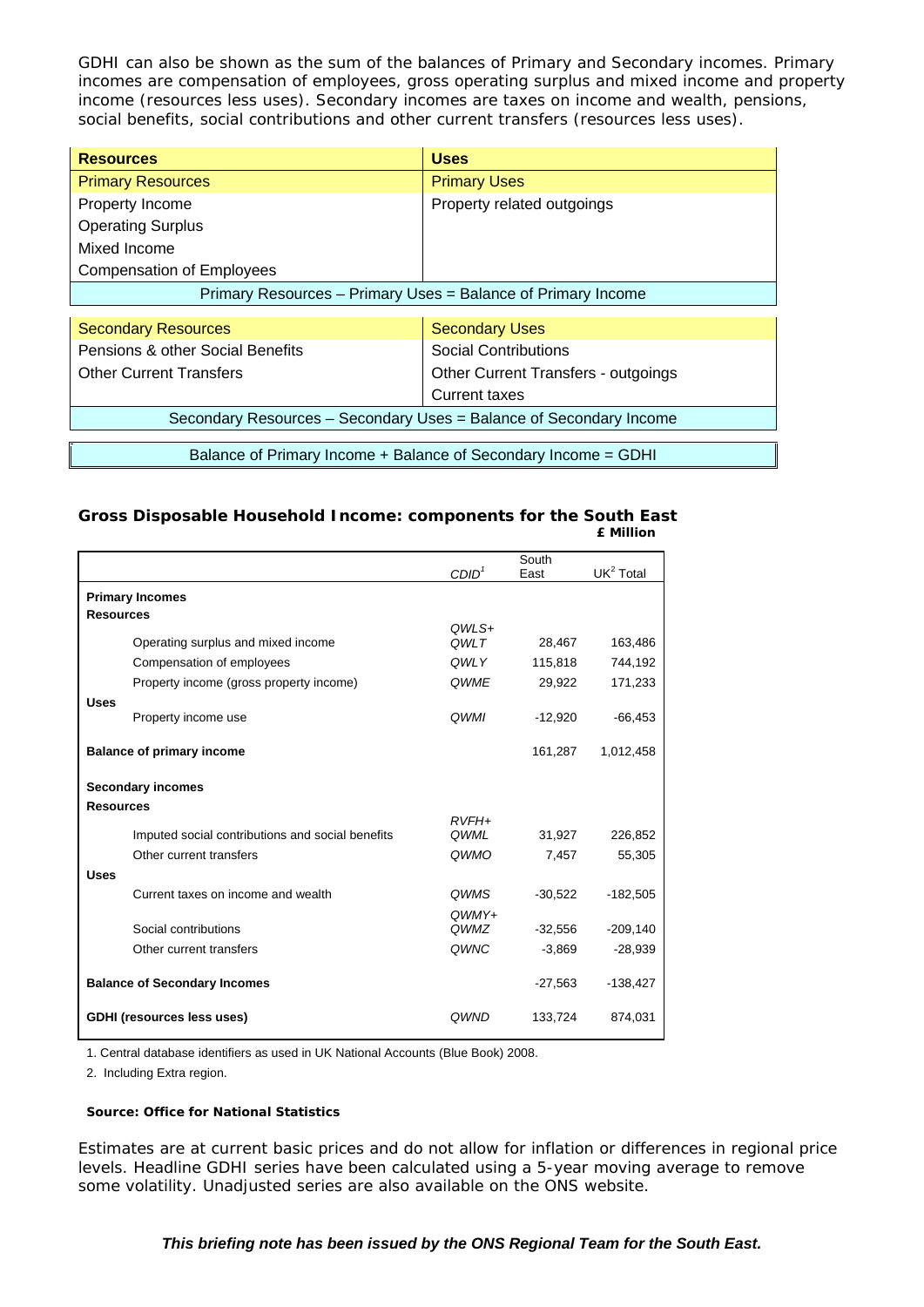GDHI can also be shown as the sum of the balances of Primary and Secondary incomes. Primary incomes are compensation of employees, gross operating surplus and mixed income and property income (resources less uses). Secondary incomes are taxes on income and wealth, pensions, social benefits, social contributions and other current transfers (resources less uses).

| <b>Resources</b>                                             | <b>Uses</b>                |  |  |  |  |  |
|--------------------------------------------------------------|----------------------------|--|--|--|--|--|
| <b>Primary Resources</b>                                     | <b>Primary Uses</b>        |  |  |  |  |  |
| Property Income                                              | Property related outgoings |  |  |  |  |  |
| <b>Operating Surplus</b>                                     |                            |  |  |  |  |  |
| Mixed Income                                                 |                            |  |  |  |  |  |
| <b>Compensation of Employees</b>                             |                            |  |  |  |  |  |
| Primary Resources - Primary Uses = Balance of Primary Income |                            |  |  |  |  |  |
|                                                              |                            |  |  |  |  |  |

| <b>Secondary Resources</b>                                         | <b>Secondary Uses</b>               |  |  |  |  |
|--------------------------------------------------------------------|-------------------------------------|--|--|--|--|
| Pensions & other Social Benefits                                   | <b>Social Contributions</b>         |  |  |  |  |
| <b>Other Current Transfers</b>                                     | Other Current Transfers - outgoings |  |  |  |  |
|                                                                    | Current taxes                       |  |  |  |  |
| Secondary Resources - Secondary Uses = Balance of Secondary Income |                                     |  |  |  |  |
|                                                                    |                                     |  |  |  |  |
| Balance of Primary Income + Balance of Secondary Income = GDHI     |                                     |  |  |  |  |

#### **Gross Disposable Household Income: components for the South East £ Million**

|                                     |                                                  |                   | South     |                       |
|-------------------------------------|--------------------------------------------------|-------------------|-----------|-----------------------|
|                                     |                                                  | CDID <sup>1</sup> | East      | UK <sup>2</sup> Total |
|                                     | <b>Primary Incomes</b>                           |                   |           |                       |
| <b>Resources</b>                    |                                                  |                   |           |                       |
|                                     |                                                  | OWLS+             |           |                       |
|                                     | Operating surplus and mixed income               | OWLT              | 28,467    | 163,486               |
|                                     | Compensation of employees                        | <b>OWLY</b>       | 115,818   | 744,192               |
|                                     | Property income (gross property income)          | <b>OWME</b>       | 29,922    | 171,233               |
| <b>Uses</b>                         |                                                  |                   |           |                       |
|                                     | Property income use                              | <b>OWMI</b>       | $-12,920$ | $-66,453$             |
|                                     | <b>Balance of primary income</b>                 |                   | 161,287   | 1,012,458             |
|                                     | <b>Secondary incomes</b>                         |                   |           |                       |
| <b>Resources</b>                    |                                                  |                   |           |                       |
|                                     |                                                  | $RVFH+$<br>QWML   | 31,927    | 226,852               |
|                                     | Imputed social contributions and social benefits |                   |           |                       |
|                                     | Other current transfers                          | QWMO              | 7,457     | 55,305                |
| <b>Uses</b>                         |                                                  |                   |           |                       |
|                                     | Current taxes on income and wealth               | <b>OWMS</b>       | $-30.522$ | $-182,505$            |
|                                     |                                                  | $OWMY+$           |           |                       |
|                                     | Social contributions                             | QWMZ              | $-32,556$ | $-209,140$            |
|                                     | Other current transfers                          | QWNC              | $-3,869$  | $-28,939$             |
| <b>Balance of Secondary Incomes</b> |                                                  |                   | $-27,563$ | $-138,427$            |
|                                     | <b>GDHI</b> (resources less uses)                | <b>OWND</b>       | 133,724   | 874,031               |

1. Central database identifiers as used in UK National Accounts (Blue Book) 2008.

2. Including Extra region.

### *Source: Office for National Statistics*

Estimates are at current basic prices and do not allow for inflation or differences in regional price levels. Headline GDHI series have been calculated using a 5-year moving average to remove some volatility. Unadjusted series are also available on the ONS website.